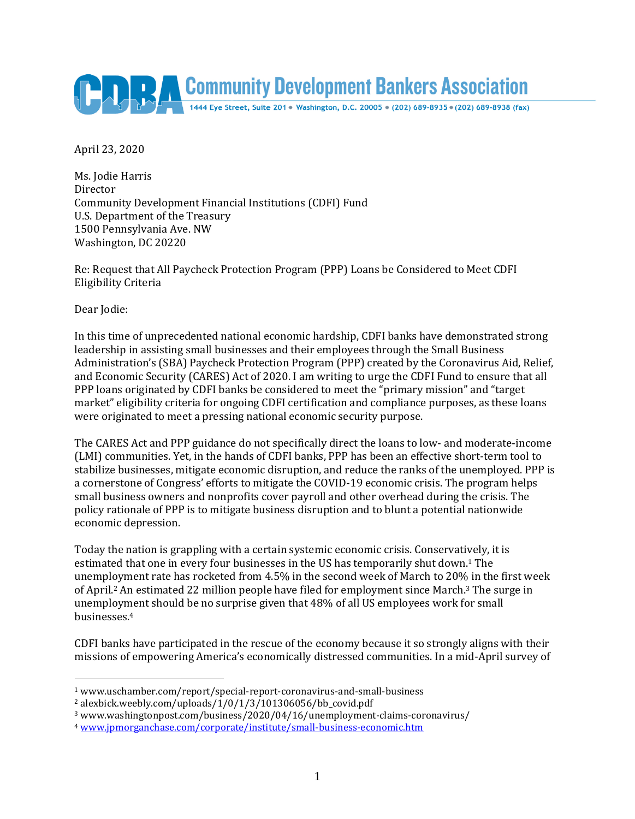

April 23, 2020

Ms. Jodie Harris Director Community Development Financial Institutions (CDFI) Fund U.S. Department of the Treasury 1500 Pennsylvania Ave. NW Washington, DC 20220

Re: Request that All Paycheck Protection Program (PPP) Loans be Considered to Meet CDFI Eligibility Criteria

Dear Jodie:

 $\overline{a}$ 

In this time of unprecedented national economic hardship, CDFI banks have demonstrated strong leadership in assisting small businesses and their employees through the Small Business Administration's (SBA) Paycheck Protection Program (PPP) created by the Coronavirus Aid, Relief, and Economic Security (CARES) Act of 2020. I am writing to urge the CDFI Fund to ensure that all PPP loans originated by CDFI banks be considered to meet the "primary mission" and "target market" eligibility criteria for ongoing CDFI certification and compliance purposes, as these loans were originated to meet a pressing national economic security purpose.

The CARES Act and PPP guidance do not specifically direct the loans to low- and moderate-income (LMI) communities. Yet, in the hands of CDFI banks, PPP has been an effective short-term tool to stabilize businesses, mitigate economic disruption, and reduce the ranks of the unemployed. PPP is a cornerstone of Congress' efforts to mitigate the COVID-19 economic crisis. The program helps small business owners and nonprofits cover payroll and other overhead during the crisis. The policy rationale of PPP is to mitigate business disruption and to blunt a potential nationwide economic depression.

Today the nation is grappling with a certain systemic economic crisis. Conservatively, it is estimated that one in every four businesses in the US has temporarily shut down.1 The unemployment rate has rocketed from 4.5% in the second week of March to 20% in the first week of April.2 An estimated 22 million people have filed for employment since March.3 The surge in unemployment should be no surprise given that 48% of all US employees work for small businesses.<sup>4</sup>

CDFI banks have participated in the rescue of the economy because it so strongly aligns with their missions of empowering America's economically distressed communities. In a mid-April survey of

<sup>1</sup> www.uschamber.com/report/special-report-coronavirus-and-small-business

<sup>2</sup> alexbick.weebly.com/uploads/1/0/1/3/101306056/bb\_covid.pdf

<sup>3</sup> www.washingtonpost.com/business/2020/04/16/unemployment-claims-coronavirus/

<sup>4</sup> [www.jpmorganchase.com/corporate/institute/small-business-economic.htm](http://www.jpmorganchase.com/corporate/institute/small-business-economic.htm)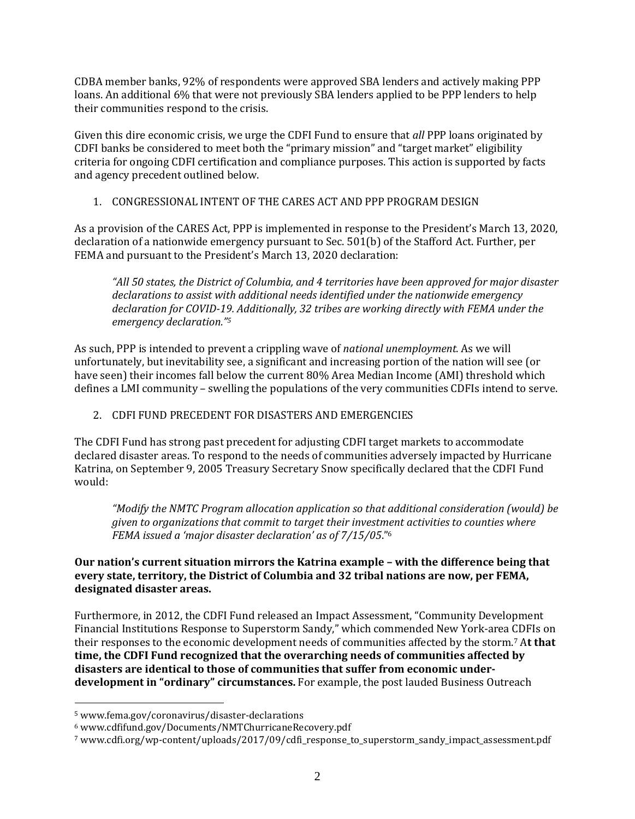CDBA member banks, 92% of respondents were approved SBA lenders and actively making PPP loans. An additional 6% that were not previously SBA lenders applied to be PPP lenders to help their communities respond to the crisis.

Given this dire economic crisis, we urge the CDFI Fund to ensure that *all* PPP loans originated by CDFI banks be considered to meet both the "primary mission" and "target market" eligibility criteria for ongoing CDFI certification and compliance purposes. This action is supported by facts and agency precedent outlined below.

## 1. CONGRESSIONAL INTENT OF THE CARES ACT AND PPP PROGRAM DESIGN

As a provision of the CARES Act, PPP is implemented in response to the President's March 13, 2020, declaration of a nationwide emergency pursuant to Sec. 501(b) of the Stafford Act. Further, per FEMA and pursuant to the President's March 13, 2020 declaration:

*"All 50 states, the District of Columbia, and 4 territories have been approved for major disaster declarations to assist with additional needs identified under the nationwide emergency declaration for COVID-19. Additionally, 32 tribes are working directly with FEMA under the emergency declaration."<sup>5</sup>* 

As such, PPP is intended to prevent a crippling wave of *national unemployment.* As we will unfortunately, but inevitability see, a significant and increasing portion of the nation will see (or have seen) their incomes fall below the current 80% Area Median Income (AMI) threshold which defines a LMI community – swelling the populations of the very communities CDFIs intend to serve.

## 2. CDFI FUND PRECEDENT FOR DISASTERS AND EMERGENCIES

The CDFI Fund has strong past precedent for adjusting CDFI target markets to accommodate declared disaster areas. To respond to the needs of communities adversely impacted by Hurricane Katrina, on September 9, 2005 Treasury Secretary Snow specifically declared that the CDFI Fund would:

*"Modify the NMTC Program allocation application so that additional consideration (would) be given to organizations that commit to target their investment activities to counties where FEMA issued a 'major disaster declaration' as of 7/15/05*."<sup>6</sup>

## **Our nation's current situation mirrors the Katrina example – with the difference being that every state, territory, the District of Columbia and 32 tribal nations are now, per FEMA, designated disaster areas.**

Furthermore, in 2012, the CDFI Fund released an Impact Assessment, "Community Development Financial Institutions Response to Superstorm Sandy," which commended New York-area CDFIs on their responses to the economic development needs of communities affected by the storm.7 A**t that time, the CDFI Fund recognized that the overarching needs of communities affected by disasters are identical to those of communities that suffer from economic underdevelopment in "ordinary" circumstances.** For example, the post lauded Business Outreach

 $\overline{a}$ 

<sup>5</sup> www.fema.gov/coronavirus/disaster-declarations

<sup>6</sup> www.cdfifund.gov/Documents/NMTChurricaneRecovery.pdf

<sup>7</sup> www.cdfi.org/wp-content/uploads/2017/09/cdfi\_response\_to\_superstorm\_sandy\_impact\_assessment.pdf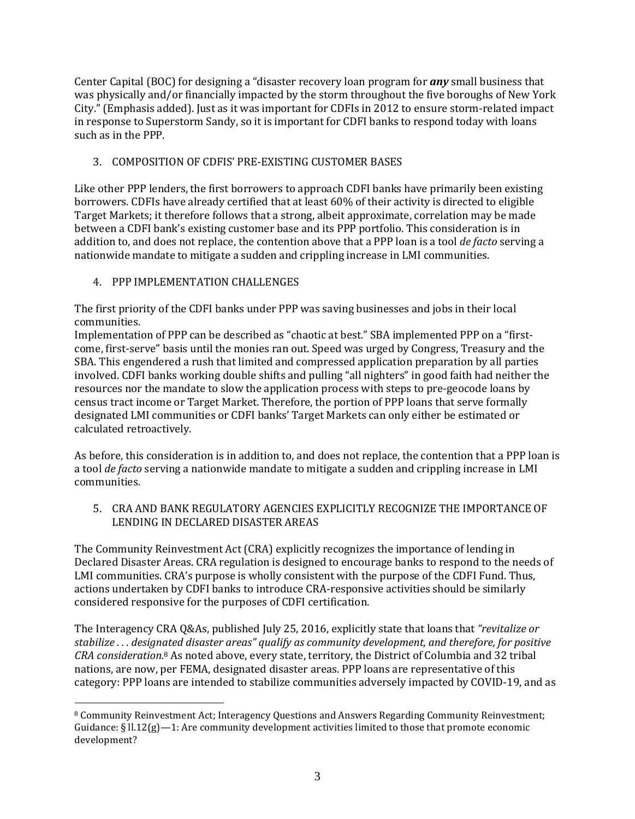Center Capital (BOC) for designing a "disaster recovery loan program for *any* small business that was physically and/or financially impacted by the storm throughout the five boroughs of New York City." (Emphasis added). Just as it was important for CDFIs in 2012 to ensure storm-related impact in response to Superstorm Sandy, so it is important for CDFI banks to respond today with loans such as in the PPP.

# 3. COMPOSITION OF CDFIS' PRE-EXISTING CUSTOMER BASES

Like other PPP lenders, the first borrowers to approach CDFI banks have primarily been existing borrowers. CDFIs have already certified that at least 60% of their activity is directed to eligible Target Markets; it therefore follows that a strong, albeit approximate, correlation may be made between a CDFI bank's existing customer base and its PPP portfolio. This consideration is in addition to, and does not replace, the contention above that a PPP loan is a tool *de facto* serving a nationwide mandate to mitigate a sudden and crippling increase in LMI communities.

## 4. PPP IMPLEMENTATION CHALLENGES

 $\overline{a}$ 

The first priority of the CDFI banks under PPP was saving businesses and jobs in their local communities.

Implementation of PPP can be described as "chaotic at best." SBA implemented PPP on a "firstcome, first-serve" basis until the monies ran out. Speed was urged by Congress, Treasury and the SBA. This engendered a rush that limited and compressed application preparation by all parties involved. CDFI banks working double shifts and pulling "all nighters" in good faith had neither the resources nor the mandate to slow the application process with steps to pre-geocode loans by census tract income or Target Market. Therefore, the portion of PPP loans that serve formally designated LMI communities or CDFI banks' Target Markets can only either be estimated or calculated retroactively.

As before, this consideration is in addition to, and does not replace, the contention that a PPP loan is a tool *de facto* serving a nationwide mandate to mitigate a sudden and crippling increase in LMI communities.

5. CRA AND BANK REGULATORY AGENCIES EXPLICITLY RECOGNIZE THE IMPORTANCE OF LENDING IN DECLARED DISASTER AREAS

The Community Reinvestment Act (CRA) explicitly recognizes the importance of lending in Declared Disaster Areas. CRA regulation is designed to encourage banks to respond to the needs of LMI communities. CRA's purpose is wholly consistent with the purpose of the CDFI Fund. Thus, actions undertaken by CDFI banks to introduce CRA-responsive activities should be similarly considered responsive for the purposes of CDFI certification.

The Interagency CRA Q&As, published July 25, 2016, explicitly state that loans that *"revitalize or stabilize . . . designated disaster areas" qualify as community development, and therefore, for positive CRA consideration.*8 As noted above, every state, territory, the District of Columbia and 32 tribal nations, are now, per FEMA, designated disaster areas. PPP loans are representative of this category: PPP loans are intended to stabilize communities adversely impacted by COVID-19, and as

<sup>8</sup> Community Reinvestment Act; Interagency Questions and Answers Regarding Community Reinvestment; Guidance:  $\S$  ll.12(g) -1: Are community development activities limited to those that promote economic development?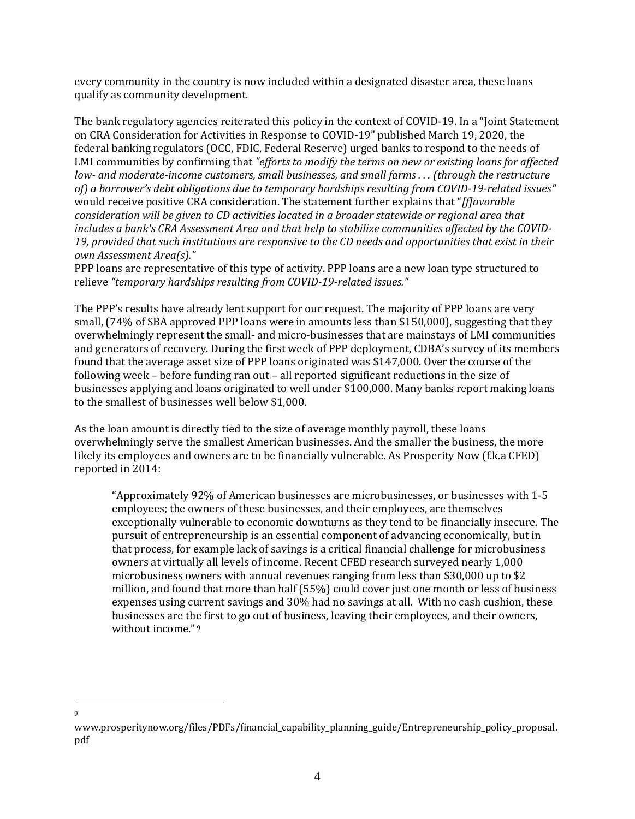every community in the country is now included within a designated disaster area, these loans qualify as community development.

The bank regulatory agencies reiterated this policy in the context of COVID-19. In a "Joint Statement on CRA Consideration for Activities in Response to COVID-19" published March 19, 2020, the federal banking regulators (OCC, FDIC, Federal Reserve) urged banks to respond to the needs of LMI communities by confirming that *"efforts to modify the terms on new or existing loans for affected low- and moderate-income customers, small businesses, and small farms . . . (through the restructure of) a borrower's debt obligations due to temporary hardships resulting from COVID-19-related issues"* would receive positive CRA consideration. The statement further explains that "*[f]avorable consideration will be given to CD activities located in a broader statewide or regional area that includes a bank's CRA Assessment Area and that help to stabilize communities affected by the COVID-19, provided that such institutions are responsive to the CD needs and opportunities that exist in their own Assessment Area(s)."* 

PPP loans are representative of this type of activity. PPP loans are a new loan type structured to relieve *"temporary hardships resulting from COVID-19-related issues."* 

The PPP's results have already lent support for our request. The majority of PPP loans are very small, (74% of SBA approved PPP loans were in amounts less than \$150,000), suggesting that they overwhelmingly represent the small- and micro-businesses that are mainstays of LMI communities and generators of recovery. During the first week of PPP deployment, CDBA's survey of its members found that the average asset size of PPP loans originated was \$147,000. Over the course of the following week – before funding ran out – all reported significant reductions in the size of businesses applying and loans originated to well under \$100,000. Many banks report making loans to the smallest of businesses well below \$1,000.

As the loan amount is directly tied to the size of average monthly payroll, these loans overwhelmingly serve the smallest American businesses. And the smaller the business, the more likely its employees and owners are to be financially vulnerable. As Prosperity Now (f.k.a CFED) reported in 2014:

"Approximately 92% of American businesses are microbusinesses, or businesses with 1-5 employees; the owners of these businesses, and their employees, are themselves exceptionally vulnerable to economic downturns as they tend to be financially insecure. The pursuit of entrepreneurship is an essential component of advancing economically, but in that process, for example lack of savings is a critical financial challenge for microbusiness owners at virtually all levels of income. Recent CFED research surveyed nearly 1,000 microbusiness owners with annual revenues ranging from less than \$30,000 up to \$2 million, and found that more than half (55%) could cover just one month or less of business expenses using current savings and 30% had no savings at all. With no cash cushion, these businesses are the first to go out of business, leaving their employees, and their owners, without income."9

 $\overline{a}$ 9

www.prosperitynow.org/files/PDFs/financial\_capability\_planning\_guide/Entrepreneurship\_policy\_proposal. pdf